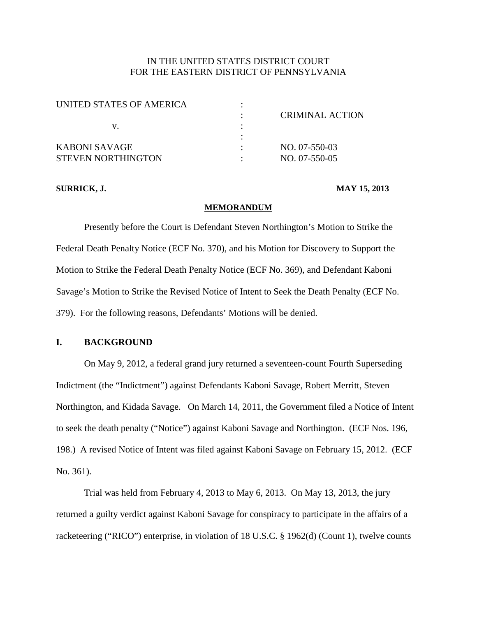# IN THE UNITED STATES DISTRICT COURT FOR THE EASTERN DISTRICT OF PENNSYLVANIA

| UNITED STATES OF AMERICA | CRIMINAL ACTION |
|--------------------------|-----------------|
|                          |                 |
| V.                       |                 |
|                          |                 |
| KABONI SAVAGE            | NO. 07-550-03   |
| STEVEN NORTHINGTON       | NO. 07-550-05   |

#### **SURRICK, J. MAY 15, 2013**

#### **MEMORANDUM**

Presently before the Court is Defendant Steven Northington's Motion to Strike the Federal Death Penalty Notice (ECF No. 370), and his Motion for Discovery to Support the Motion to Strike the Federal Death Penalty Notice (ECF No. 369), and Defendant Kaboni Savage's Motion to Strike the Revised Notice of Intent to Seek the Death Penalty (ECF No. 379). For the following reasons, Defendants' Motions will be denied.

## **I. BACKGROUND**

On May 9, 2012, a federal grand jury returned a seventeen-count Fourth Superseding Indictment (the "Indictment") against Defendants Kaboni Savage, Robert Merritt, Steven Northington, and Kidada Savage. On March 14, 2011, the Government filed a Notice of Intent to seek the death penalty ("Notice") against Kaboni Savage and Northington. (ECF Nos. 196, 198.) A revised Notice of Intent was filed against Kaboni Savage on February 15, 2012. (ECF No. 361).

Trial was held from February 4, 2013 to May 6, 2013. On May 13, 2013, the jury returned a guilty verdict against Kaboni Savage for conspiracy to participate in the affairs of a racketeering ("RICO") enterprise, in violation of 18 U.S.C. § 1962(d) (Count 1), twelve counts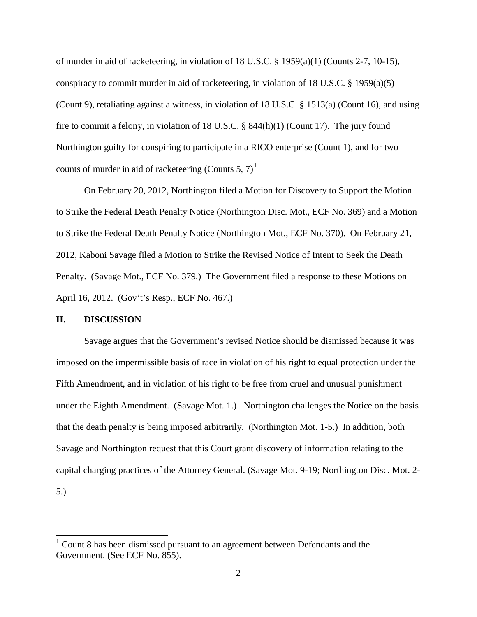of murder in aid of racketeering, in violation of 18 U.S.C. § 1959(a)(1) (Counts 2-7, 10-15), conspiracy to commit murder in aid of racketeering, in violation of 18 U.S.C. § 1959(a)(5) (Count 9), retaliating against a witness, in violation of 18 U.S.C. § 1513(a) (Count 16), and using fire to commit a felony, in violation of 18 U.S.C. § 844(h)(1) (Count 17). The jury found Northington guilty for conspiring to participate in a RICO enterprise (Count 1), and for two counts of murder in aid of racketeering (Counts 5, 7)<sup>[1](#page-8-0)</sup>

On February 20, 2012, Northington filed a Motion for Discovery to Support the Motion to Strike the Federal Death Penalty Notice (Northington Disc. Mot., ECF No. 369) and a Motion to Strike the Federal Death Penalty Notice (Northington Mot., ECF No. 370). On February 21, 2012, Kaboni Savage filed a Motion to Strike the Revised Notice of Intent to Seek the Death Penalty. (Savage Mot., ECF No. 379.) The Government filed a response to these Motions on April 16, 2012. (Gov't's Resp., ECF No. 467.)

### **II. DISCUSSION**

Savage argues that the Government's revised Notice should be dismissed because it was imposed on the impermissible basis of race in violation of his right to equal protection under the Fifth Amendment, and in violation of his right to be free from cruel and unusual punishment under the Eighth Amendment. (Savage Mot. 1.) Northington challenges the Notice on the basis that the death penalty is being imposed arbitrarily. (Northington Mot. 1-5.) In addition, both Savage and Northington request that this Court grant discovery of information relating to the capital charging practices of the Attorney General. (Savage Mot. 9-19; Northington Disc. Mot. 2- 5.)

<span id="page-1-0"></span><sup>1</sup> Count 8 has been dismissed pursuant to an agreement between Defendants and the Government. (See ECF No. 855).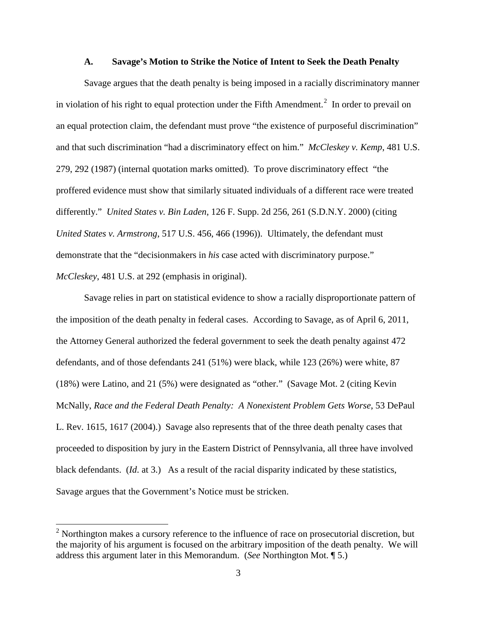#### **A. Savage's Motion to Strike the Notice of Intent to Seek the Death Penalty**

Savage argues that the death penalty is being imposed in a racially discriminatory manner in violation of his right to equal protection under the Fifth Amendment.<sup>[2](#page-1-0)</sup> In order to prevail on an equal protection claim, the defendant must prove "the existence of purposeful discrimination" and that such discrimination "had a discriminatory effect on him." *McCleskey v. Kemp*, 481 U.S. 279, 292 (1987) (internal quotation marks omitted). To prove discriminatory effect "the proffered evidence must show that similarly situated individuals of a different race were treated differently." *United States v. Bin Laden*, 126 F. Supp. 2d 256, 261 (S.D.N.Y. 2000) (citing *United States v. Armstrong*, 517 U.S. 456, 466 (1996)). Ultimately, the defendant must demonstrate that the "decisionmakers in *his* case acted with discriminatory purpose." *McCleskey*, 481 U.S. at 292 (emphasis in original).

Savage relies in part on statistical evidence to show a racially disproportionate pattern of the imposition of the death penalty in federal cases. According to Savage, as of April 6, 2011, the Attorney General authorized the federal government to seek the death penalty against 472 defendants, and of those defendants 241 (51%) were black, while 123 (26%) were white, 87 (18%) were Latino, and 21 (5%) were designated as "other." (Savage Mot. 2 (citing Kevin McNally, *Race and the Federal Death Penalty: A Nonexistent Problem Gets Worse*, 53 DePaul L. Rev. 1615, 1617 (2004).) Savage also represents that of the three death penalty cases that proceeded to disposition by jury in the Eastern District of Pennsylvania, all three have involved black defendants. (*Id*. at 3.) As a result of the racial disparity indicated by these statistics, Savage argues that the Government's Notice must be stricken.

<span id="page-2-0"></span> $2$  Northington makes a cursory reference to the influence of race on prosecutorial discretion, but the majority of his argument is focused on the arbitrary imposition of the death penalty. We will address this argument later in this Memorandum. (*See* Northington Mot. ¶ 5.)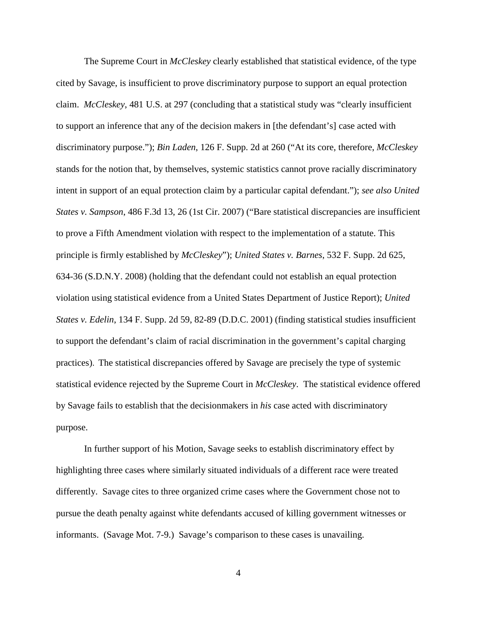The Supreme Court in *McCleskey* clearly established that statistical evidence, of the type cited by Savage, is insufficient to prove discriminatory purpose to support an equal protection claim. *McCleskey*, 481 U.S. at 297 (concluding that a statistical study was "clearly insufficient to support an inference that any of the decision makers in [the defendant's] case acted with discriminatory purpose."); *Bin Laden*, 126 F. Supp. 2d at 260 ("At its core, therefore, *McCleskey* stands for the notion that, by themselves, systemic statistics cannot prove racially discriminatory intent in support of an equal protection claim by a particular capital defendant."); *see also United States v. Sampson*, 486 F.3d 13, 26 (1st Cir. 2007) ("Bare statistical discrepancies are insufficient to prove a Fifth Amendment violation with respect to the implementation of a statute. This principle is firmly established by *McCleskey*"); *United States v. Barnes*, 532 F. Supp. 2d 625, 634-36 (S.D.N.Y. 2008) (holding that the defendant could not establish an equal protection violation using statistical evidence from a United States Department of Justice Report); *United States v. Edelin*, 134 F. Supp. 2d 59, 82-89 (D.D.C. 2001) (finding statistical studies insufficient to support the defendant's claim of racial discrimination in the government's capital charging practices). The statistical discrepancies offered by Savage are precisely the type of systemic statistical evidence rejected by the Supreme Court in *McCleskey*. The statistical evidence offered by Savage fails to establish that the decisionmakers in *his* case acted with discriminatory purpose.

In further support of his Motion, Savage seeks to establish discriminatory effect by highlighting three cases where similarly situated individuals of a different race were treated differently. Savage cites to three organized crime cases where the Government chose not to pursue the death penalty against white defendants accused of killing government witnesses or informants. (Savage Mot. 7-9.) Savage's comparison to these cases is unavailing.

4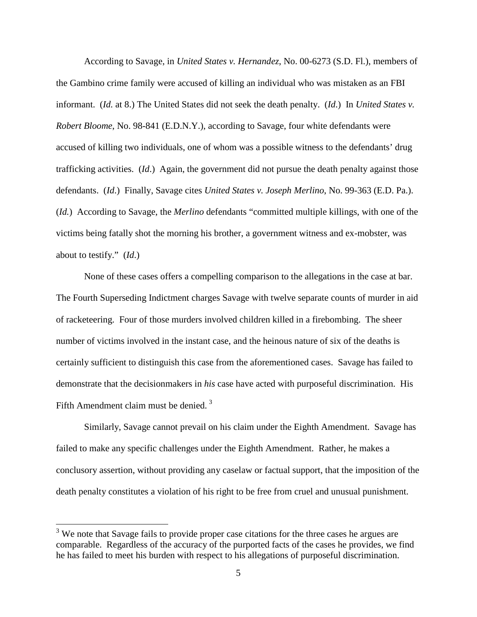According to Savage, in *United States v. Hernandez*, No. 00-6273 (S.D. Fl.), members of the Gambino crime family were accused of killing an individual who was mistaken as an FBI informant. (*Id.* at 8.) The United States did not seek the death penalty. (*Id*.) In *United States v. Robert Bloome*, No. 98-841 (E.D.N.Y.), according to Savage, four white defendants were accused of killing two individuals, one of whom was a possible witness to the defendants' drug trafficking activities. (*Id*.) Again, the government did not pursue the death penalty against those defendants. (*Id*.) Finally, Savage cites *United States v. Joseph Merlino*, No. 99-363 (E.D. Pa.). (*Id.*) According to Savage, the *Merlino* defendants "committed multiple killings, with one of the victims being fatally shot the morning his brother, a government witness and ex-mobster, was about to testify." (*Id*.)

None of these cases offers a compelling comparison to the allegations in the case at bar. The Fourth Superseding Indictment charges Savage with twelve separate counts of murder in aid of racketeering. Four of those murders involved children killed in a firebombing. The sheer number of victims involved in the instant case, and the heinous nature of six of the deaths is certainly sufficient to distinguish this case from the aforementioned cases. Savage has failed to demonstrate that the decisionmakers in *his* case have acted with purposeful discrimination. His Fifth Amendment claim must be denied. [3](#page-2-0)

Similarly, Savage cannot prevail on his claim under the Eighth Amendment. Savage has failed to make any specific challenges under the Eighth Amendment. Rather, he makes a conclusory assertion, without providing any caselaw or factual support, that the imposition of the death penalty constitutes a violation of his right to be free from cruel and unusual punishment.

<span id="page-4-0"></span> $3$  We note that Savage fails to provide proper case citations for the three cases he argues are comparable. Regardless of the accuracy of the purported facts of the cases he provides, we find he has failed to meet his burden with respect to his allegations of purposeful discrimination.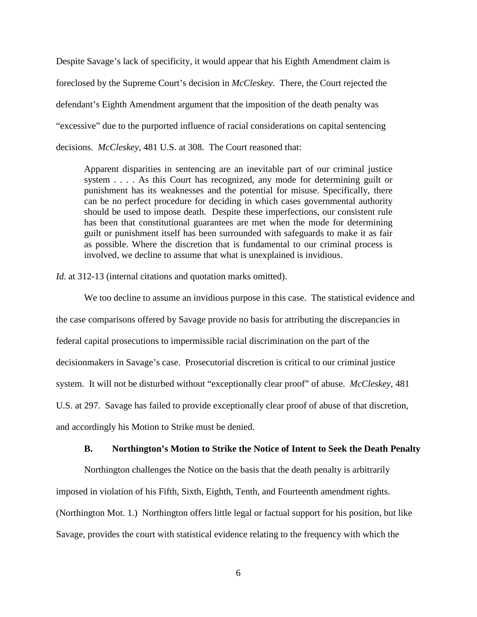Despite Savage's lack of specificity, it would appear that his Eighth Amendment claim is foreclosed by the Supreme Court's decision in *McCleskey*. There, the Court rejected the defendant's Eighth Amendment argument that the imposition of the death penalty was "excessive" due to the purported influence of racial considerations on capital sentencing decisions. *McCleskey*, 481 U.S. at 308. The Court reasoned that:

Apparent disparities in sentencing are an inevitable part of our criminal justice system . . . . As this Court has recognized, any mode for determining guilt or punishment has its weaknesses and the potential for misuse. Specifically, there can be no perfect procedure for deciding in which cases governmental authority should be used to impose death. Despite these imperfections, our consistent rule has been that constitutional guarantees are met when the mode for determining guilt or punishment itself has been surrounded with safeguards to make it as fair as possible. Where the discretion that is fundamental to our criminal process is involved, we decline to assume that what is unexplained is invidious.

*Id*. at 312-13 (internal citations and quotation marks omitted).

We too decline to assume an invidious purpose in this case. The statistical evidence and the case comparisons offered by Savage provide no basis for attributing the discrepancies in federal capital prosecutions to impermissible racial discrimination on the part of the decisionmakers in Savage's case. Prosecutorial discretion is critical to our criminal justice system. It will not be disturbed without "exceptionally clear proof" of abuse. *McCleskey*, 481 U.S. at 297. Savage has failed to provide exceptionally clear proof of abuse of that discretion, and accordingly his Motion to Strike must be denied.

#### **B. Northington's Motion to Strike the Notice of Intent to Seek the Death Penalty**

Northington challenges the Notice on the basis that the death penalty is arbitrarily imposed in violation of his Fifth, Sixth, Eighth, Tenth, and Fourteenth amendment rights. (Northington Mot. 1.) Northington offers little legal or factual support for his position, but like Savage, provides the court with statistical evidence relating to the frequency with which the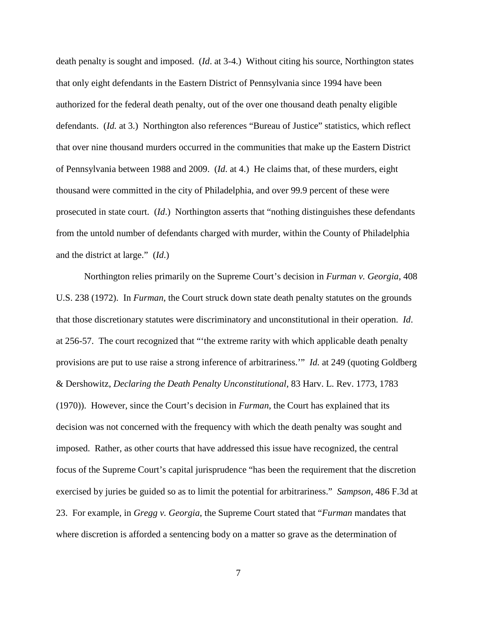death penalty is sought and imposed. (*Id*. at 3-4.) Without citing his source, Northington states that only eight defendants in the Eastern District of Pennsylvania since 1994 have been authorized for the federal death penalty, out of the over one thousand death penalty eligible defendants. (*Id.* at 3.) Northington also references "Bureau of Justice" statistics, which reflect that over nine thousand murders occurred in the communities that make up the Eastern District of Pennsylvania between 1988 and 2009. (*Id*. at 4.) He claims that, of these murders, eight thousand were committed in the city of Philadelphia, and over 99.9 percent of these were prosecuted in state court. (*Id*.) Northington asserts that "nothing distinguishes these defendants from the untold number of defendants charged with murder, within the County of Philadelphia and the district at large." (*Id*.)

Northington relies primarily on the Supreme Court's decision in *Furman v. Georgia*, 408 U.S. 238 (1972). In *Furman*, the Court struck down state death penalty statutes on the grounds that those discretionary statutes were discriminatory and unconstitutional in their operation. *Id*. at 256-57. The court recognized that "'the extreme rarity with which applicable death penalty provisions are put to use raise a strong inference of arbitrariness.'" *Id.* at 249 (quoting Goldberg & Dershowitz, *Declaring the Death Penalty Unconstitutional*, 83 Harv. L. Rev. 1773, 1783 (1970)). However, since the Court's decision in *Furman*, the Court has explained that its decision was not concerned with the frequency with which the death penalty was sought and imposed. Rather, as other courts that have addressed this issue have recognized, the central focus of the Supreme Court's capital jurisprudence "has been the requirement that the discretion exercised by juries be guided so as to limit the potential for arbitrariness." *Sampson*, 486 F.3d at 23. For example, in *Gregg v. Georgia*, the Supreme Court stated that "*Furman* mandates that where discretion is afforded a sentencing body on a matter so grave as the determination of

7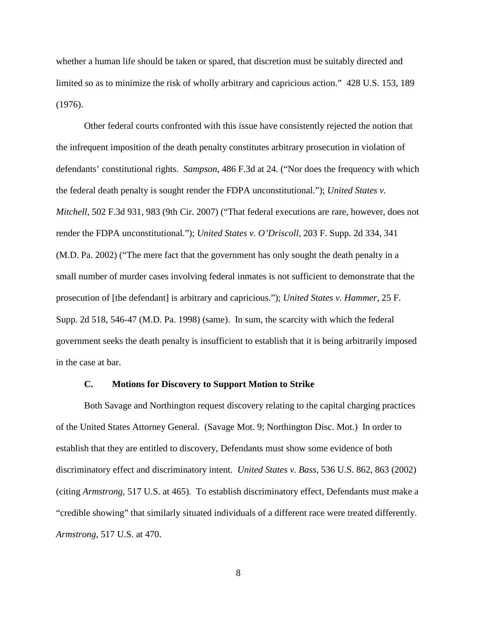whether a human life should be taken or spared, that discretion must be suitably directed and limited so as to minimize the risk of wholly arbitrary and capricious action." 428 U.S. 153, 189 (1976).

Other federal courts confronted with this issue have consistently rejected the notion that the infrequent imposition of the death penalty constitutes arbitrary prosecution in violation of defendants' constitutional rights. *Sampson*, 486 F.3d at 24. ("Nor does the frequency with which the federal death penalty is sought render the FDPA unconstitutional."); *United States v. Mitchell*, 502 F.3d 931, 983 (9th Cir. 2007) ("That federal executions are rare, however, does not render the FDPA unconstitutional."); *United States v. O'Driscoll*, 203 F. Supp. 2d 334, 341 (M.D. Pa. 2002) ("The mere fact that the government has only sought the death penalty in a small number of murder cases involving federal inmates is not sufficient to demonstrate that the prosecution of [the defendant] is arbitrary and capricious."); *United States v. Hammer*, 25 F. Supp. 2d 518, 546-47 (M.D. Pa. 1998) (same). In sum, the scarcity with which the federal government seeks the death penalty is insufficient to establish that it is being arbitrarily imposed in the case at bar.

### **C. Motions for Discovery to Support Motion to Strike**

Both Savage and Northington request discovery relating to the capital charging practices of the United States Attorney General. (Savage Mot. 9; Northington Disc. Mot.) In order to establish that they are entitled to discovery, Defendants must show some evidence of both discriminatory effect and discriminatory intent. *United States v. Bass*, 536 U.S. 862, 863 (2002) (citing *Armstrong*, 517 U.S. at 465). To establish discriminatory effect, Defendants must make a "credible showing" that similarly situated individuals of a different race were treated differently. *Armstrong*, 517 U.S. at 470.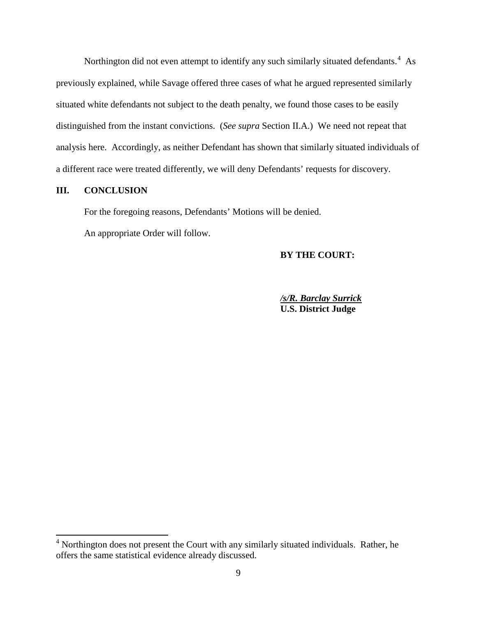Northington did not even attempt to identify any such similarly situated defendants.<sup>[4](#page-4-0)</sup> As previously explained, while Savage offered three cases of what he argued represented similarly situated white defendants not subject to the death penalty, we found those cases to be easily distinguished from the instant convictions. (*See supra* Section II.A.) We need not repeat that analysis here. Accordingly, as neither Defendant has shown that similarly situated individuals of a different race were treated differently, we will deny Defendants' requests for discovery.

# **III. CONCLUSION**

For the foregoing reasons, Defendants' Motions will be denied.

An appropriate Order will follow.

**BY THE COURT:**

*/s/R. Barclay Surrick* **U.S. District Judge**

<span id="page-8-0"></span><sup>&</sup>lt;sup>4</sup> Northington does not present the Court with any similarly situated individuals. Rather, he offers the same statistical evidence already discussed.